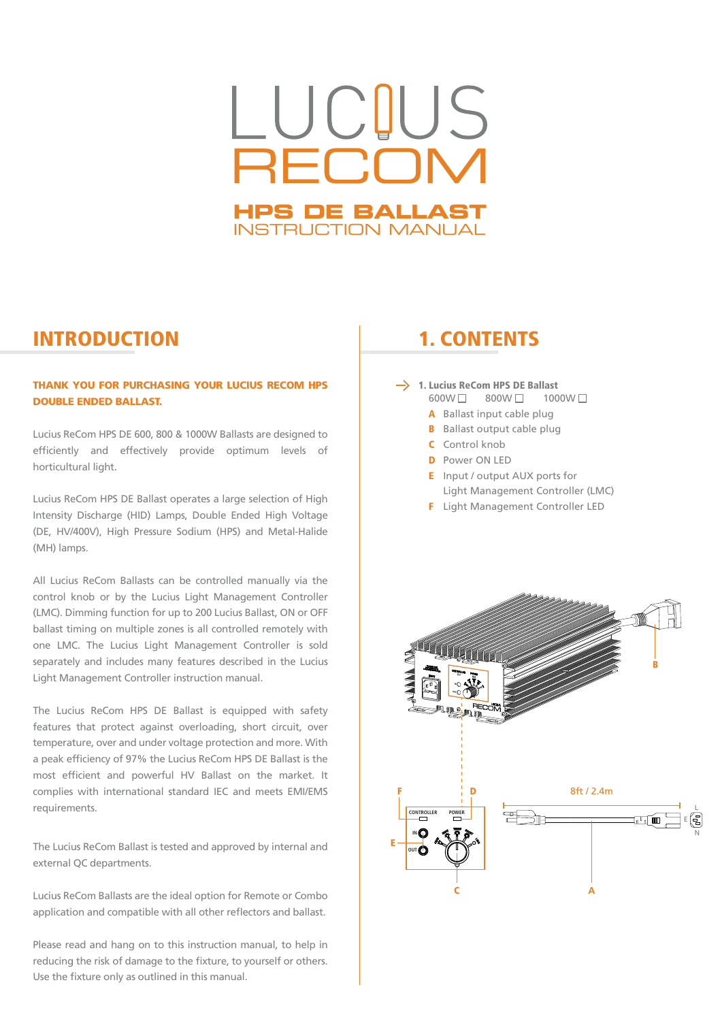# LUCIUS **RECOM HPS DE BALLAST** INSTRUCTION MANUAL

### INTRODUCTION 1. CONTENTS

### THANK YOU FOR PURCHASING YOUR LUCIUS RECOM HPS DOUBLE ENDED BALLAST.

Lucius ReCom HPS DE 600, 800 & 1000W Ballasts are designed to efficiently and effectively provide optimum levels of horticultural light.

Lucius ReCom HPS DE Ballast operates a large selection of High Intensity Discharge (HID) Lamps, Double Ended High Voltage (DE, HV/400V), High Pressure Sodium (HPS) and Metal-Halide (MH) lamps.

All Lucius ReCom Ballasts can be controlled manually via the control knob or by the Lucius Light Management Controller (LMC). Dimming function for up to 200 Lucius Ballast, ON or OFF ballast timing on multiple zones is all controlled remotely with one LMC. The Lucius Light Management Controller is sold separately and includes many features described in the Lucius Light Management Controller instruction manual.

The Lucius ReCom HPS DE Ballast is equipped with safety features that protect against overloading, short circuit, over temperature, over and under voltage protection and more. With a peak efficiency of 97% the Lucius ReCom HPS DE Ballast is the most efficient and powerful HV Ballast on the market. It complies with international standard IEC and meets EMI/EMS requirements.

The Lucius ReCom Ballast is tested and approved by internal and external QC departments.

Lucius ReCom Ballasts are the ideal option for Remote or Combo application and compatible with all other reflectors and ballast.

Please read and hang on to this instruction manual, to help in reducing the risk of damage to the fixture, to yourself or others. Use the fixture only as outlined in this manual.

- $\rightarrow$  1. Lucius ReCom HPS DE Ballast<br>600W 300W 1000W 1  $800W \Box$ 
	- A Ballast input cable plug
	- **B** Ballast output cable plug
	- C Control knob
	- **D** Power ON LED
	- E Input / output AUX ports for Light Management Controller (LMC)
	- F Light Management Controller LED

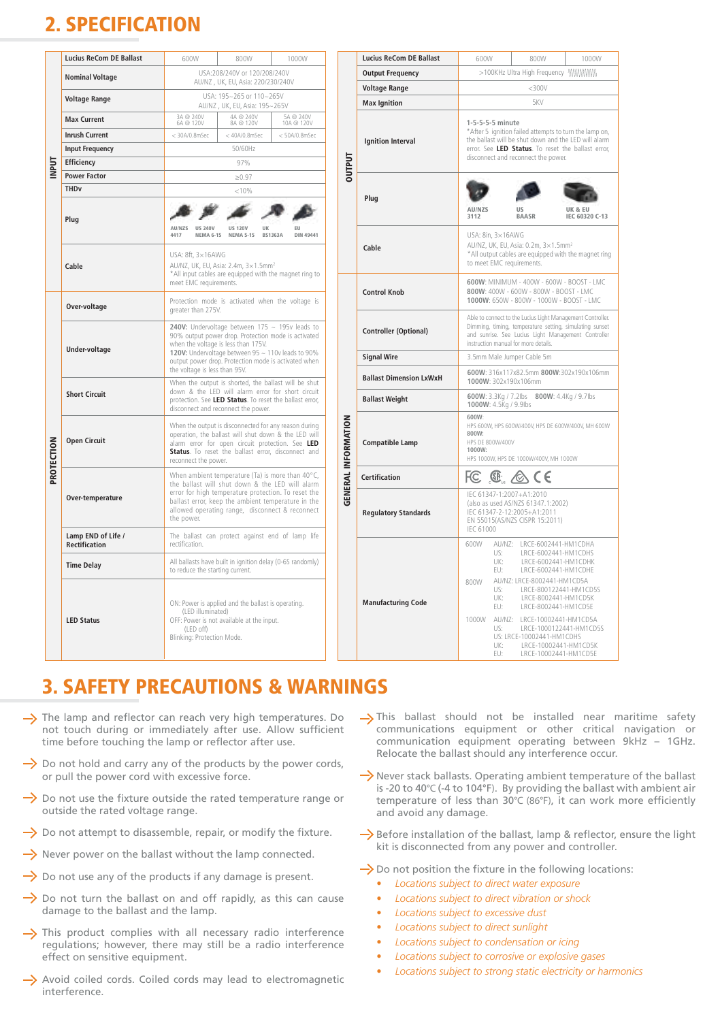## 2. SPECIFICATION

|            | <b>Lucius ReCom DE Ballast</b>             | 600W                                                                                                                                                                                                                                            | 800W                                                    | 1000W                   |          | Lucius Re  |  |  |  |
|------------|--------------------------------------------|-------------------------------------------------------------------------------------------------------------------------------------------------------------------------------------------------------------------------------------------------|---------------------------------------------------------|-------------------------|----------|------------|--|--|--|
| NPUT       | <b>Nominal Voltage</b>                     | USA:208/240V or 120/208/240V<br>AU/NZ, UK, EU, Asia: 220/230/240V                                                                                                                                                                               |                                                         | <b>Output F</b>         |          |            |  |  |  |
|            | <b>Voltage Range</b>                       | USA: 195~265 or 110~265V                                                                                                                                                                                                                        |                                                         | Voltage I<br>Max Igni   |          |            |  |  |  |
|            | <b>Max Current</b>                         | 3A @ 240V<br>6A @ 120V                                                                                                                                                                                                                          | AU/NZ. UK. EU. Asia: 195~265V<br>4A @ 240V<br>8A @ 120V | 5A @ 240V<br>10A @ 120V |          |            |  |  |  |
|            | <b>Inrush Current</b>                      | $<$ 30A/0.8mSec                                                                                                                                                                                                                                 | $<$ 40A/0.8mSec                                         | $< 50A/0.8m$ Sec        |          |            |  |  |  |
|            | <b>Input Frequency</b>                     |                                                                                                                                                                                                                                                 |                                                         |                         | Ignition |            |  |  |  |
|            | Efficiency                                 |                                                                                                                                                                                                                                                 | DUTPUT                                                  |                         |          |            |  |  |  |
|            | <b>Power Factor</b>                        | ≥0.97                                                                                                                                                                                                                                           |                                                         |                         |          |            |  |  |  |
|            | <b>THD<sub>v</sub></b>                     |                                                                                                                                                                                                                                                 |                                                         |                         |          |            |  |  |  |
|            | Plug                                       | AU/N79<br><b>UR 240V</b><br>4417<br><b>NEMA 6-15</b>                                                                                                                                                                                            |                                                         | Plug                    |          |            |  |  |  |
|            | Cable                                      | USA: 8ft, 3×16AWG<br>AU/NZ, UK, EU, Asia: 2.4m, 3×1.5mm <sup>2</sup><br>*All input cables are equipped with the magnet ring to<br>meet EMC requirements.                                                                                        |                                                         | Cable                   |          |            |  |  |  |
|            | Over-voltage                               | Protection mode is activated when the voltage is<br>greater than 275V.                                                                                                                                                                          |                                                         | Control N               |          |            |  |  |  |
| PROTECTION | <b>Under-voltage</b>                       | 240V: Undervoltage between $175 \sim 195$ v leads to<br>Controlle<br>90% output power drop. Protection mode is activated<br>when the voltage is less than 175V.<br>120V: Undervoltage between 95 ~ 110v leads to 90%<br><b>Signal W</b>         |                                                         |                         |          |            |  |  |  |
|            |                                            | output power drop. Protection mode is activated when<br>the voltage is less than 95V.                                                                                                                                                           |                                                         | <b>Ballast D</b>        |          |            |  |  |  |
|            | <b>Short Circuit</b>                       | When the output is shorted, the ballast will be shut<br>down & the LED will alarm error for short circuit<br>protection. See LED Status. To reset the ballast error.<br>disconnect and reconnect the power.                                     |                                                         | <b>Ballast W</b>        |          |            |  |  |  |
|            | <b>Open Circuit</b>                        | When the output is disconnected for any reason during<br>operation, the ballast will shut down & the LED will<br>alarm error for open circuit protection. See LED<br>Status. To reset the ballast error, disconnect and<br>reconnect the power. | <b>GENERAL INFORMATION</b>                              | Compatil                |          |            |  |  |  |
|            |                                            | When ambient temperature (Ta) is more than 40°C,<br>the ballast will shut down & the LED will alarm                                                                                                                                             |                                                         |                         |          | Certificat |  |  |  |
|            | Over-temperature                           | error for high temperature protection. To reset the<br>ballast error, keep the ambient temperature in the<br>allowed operating range, disconnect & reconnect<br>the power.                                                                      |                                                         |                         |          | Regulato   |  |  |  |
|            | Lamp END of Life /<br><b>Rectification</b> | The ballast can protect against end of lamp life<br>rectification.                                                                                                                                                                              |                                                         |                         |          |            |  |  |  |
|            | <b>Time Delay</b>                          | All ballasts have built in ignition delay (0-6S randomly)<br>to reduce the starting current.                                                                                                                                                    |                                                         |                         |          |            |  |  |  |
|            | <b>LED Status</b>                          | ON: Power is applied and the ballast is operating.<br>(LED illuminated)<br>OFF: Power is not available at the input.<br>(LED off)<br>Blinking: Protection Mode.                                                                                 |                                                         | Manufac                 |          |            |  |  |  |

| 600W                                                                                                                                                                                                                         | 800W                                                 |                      | 1000W           |                            | <b>Lucius ReCom DE Ballast</b> | 600W                                                                                                                                                                         | 800W                                                                                | 1000W                                          |  |  |
|------------------------------------------------------------------------------------------------------------------------------------------------------------------------------------------------------------------------------|------------------------------------------------------|----------------------|-----------------|----------------------------|--------------------------------|------------------------------------------------------------------------------------------------------------------------------------------------------------------------------|-------------------------------------------------------------------------------------|------------------------------------------------|--|--|
| USA:208/240V or 120/208/240V                                                                                                                                                                                                 |                                                      |                      |                 | <b>Output Frequency</b>    |                                |                                                                                                                                                                              |                                                                                     |                                                |  |  |
| AU/NZ, UK, EU, Asia: 220/230/240V                                                                                                                                                                                            |                                                      |                      |                 |                            | <b>Voltage Range</b>           | $<$ 300 $V$                                                                                                                                                                  |                                                                                     |                                                |  |  |
| USA: 195~265 or 110~265V<br>AU/NZ, UK, EU, Asia: 195~265V                                                                                                                                                                    |                                                      |                      |                 |                            | <b>Max Ignition</b>            | 5KV                                                                                                                                                                          |                                                                                     |                                                |  |  |
| @ 240V<br>@ 120V                                                                                                                                                                                                             | 4A @ 240V<br>5A @ 240V<br>8A @ 120V<br>10A @ 120V    |                      |                 |                            | 1-5-5-5-5 minute               |                                                                                                                                                                              |                                                                                     |                                                |  |  |
| 0A/0.8mSec                                                                                                                                                                                                                   | $<$ 40A/0.8mSec                                      |                      | $<$ 50A/0.8mSec |                            |                                | *After 5 ignition failed attempts to turn the lamp on,                                                                                                                       |                                                                                     |                                                |  |  |
|                                                                                                                                                                                                                              | 50/60Hz                                              |                      |                 |                            | <b>Ignition Interval</b>       | the ballast will be shut down and the LED will alarm<br>error. See LED Status. To reset the ballast error,<br>disconnect and reconnect the power.                            |                                                                                     |                                                |  |  |
|                                                                                                                                                                                                                              | 97%                                                  |                      |                 | DUTPUT                     |                                |                                                                                                                                                                              |                                                                                     |                                                |  |  |
|                                                                                                                                                                                                                              | $\ge 0.97$                                           |                      |                 |                            |                                |                                                                                                                                                                              |                                                                                     |                                                |  |  |
|                                                                                                                                                                                                                              | < 10%                                                |                      |                 |                            |                                |                                                                                                                                                                              |                                                                                     |                                                |  |  |
|                                                                                                                                                                                                                              |                                                      |                      |                 |                            | Plug                           | AU/NZS                                                                                                                                                                       | <b>US</b>                                                                           | UK & FU                                        |  |  |
|                                                                                                                                                                                                                              |                                                      |                      |                 |                            |                                | 3112                                                                                                                                                                         | <b>BAASR</b>                                                                        | IEC 60320 C-13                                 |  |  |
| 75<br>US 240V<br><b>NEMA 6-15</b>                                                                                                                                                                                            | <b>US 120V</b><br><b>NEMA 5-15</b>                   | ик<br><b>BS1363A</b> | DIN 49441       |                            |                                | USA: 8in, 3×16AWG                                                                                                                                                            |                                                                                     |                                                |  |  |
|                                                                                                                                                                                                                              |                                                      |                      |                 |                            | Cable                          | AU/NZ, UK, EU, Asia: 0.2m, 3×1.5mm <sup>2</sup><br>*All output cables are equipped with the magnet ring<br>to meet EMC requirements.                                         |                                                                                     |                                                |  |  |
| : 8ft, 3×16AWG                                                                                                                                                                                                               | VZ, UK, EU, Asia: 2.4m, 3×1.5mm <sup>2</sup>         |                      |                 |                            |                                |                                                                                                                                                                              |                                                                                     |                                                |  |  |
|                                                                                                                                                                                                                              | input cables are equipped with the magnet ring to    |                      |                 |                            |                                |                                                                                                                                                                              |                                                                                     |                                                |  |  |
| t EMC requirements.                                                                                                                                                                                                          |                                                      |                      |                 |                            | <b>Control Knob</b>            |                                                                                                                                                                              | 600W: MINIMUM - 400W - 600W - BOOST - LMC<br>800W: 400W - 600W - 800W - BOOST - LMC |                                                |  |  |
| ter than 275V.                                                                                                                                                                                                               | ection mode is activated when the voltage is         |                      |                 |                            |                                | 1000W: 650W - 800W - 1000W - BOOST - LMC                                                                                                                                     |                                                                                     |                                                |  |  |
|                                                                                                                                                                                                                              |                                                      |                      |                 |                            |                                | Able to connect to the Lucius Light Management Controller.<br>Dimming, timing, temperature setting, simulating sunset<br>and sunrise. See Lucius Light Management Controller |                                                                                     |                                                |  |  |
|                                                                                                                                                                                                                              | V: Undervoltage between 175 ~ 195v leads to          |                      |                 |                            | <b>Controller (Optional)</b>   |                                                                                                                                                                              |                                                                                     |                                                |  |  |
| output power drop. Protection mode is activated<br>n the voltage is less than 175V.                                                                                                                                          |                                                      |                      |                 |                            |                                | instruction manual for more details                                                                                                                                          |                                                                                     |                                                |  |  |
| V: Undervoltage between 95 ~ 110v leads to 90%<br>ut power drop. Protection mode is activated when                                                                                                                           |                                                      |                      |                 |                            | <b>Signal Wire</b>             | 3.5mm Male Jumper Cable 5m                                                                                                                                                   |                                                                                     |                                                |  |  |
| oltage is less than 95V.                                                                                                                                                                                                     |                                                      |                      |                 |                            | <b>Ballast Dimension LxWxH</b> | 600W: 316x117x82.5mm 800W:302x190x106mm                                                                                                                                      |                                                                                     |                                                |  |  |
| n the output is shorted, the ballast will be shut<br>n & the LED will alarm error for short circuit                                                                                                                          |                                                      |                      |                 |                            | 1000W: 302x190x106mm           |                                                                                                                                                                              |                                                                                     |                                                |  |  |
| ection. See LED Status. To reset the ballast error,<br>onnect and reconnect the power.                                                                                                                                       |                                                      |                      |                 |                            | <b>Ballast Weight</b>          | 600W: 3.3Kg / 7.2lbs 800W: 4.4Kg / 9.7lbs<br>1000W: 4.5Kg / 9.9lbs                                                                                                           |                                                                                     |                                                |  |  |
| n the output is disconnected for any reason during<br>ation, the ballast will shut down & the LED will<br>n error for open circuit protection. See LED<br>us. To reset the ballast error, disconnect and<br>nnect the power. |                                                      |                      |                 | <b>GENERAL INFORMATION</b> | Compatible Lamp                | 600W:<br>HPS 600W, HPS 600W/400V, HPS DE 600W/400V, MH 600W<br>800W:<br>HPS DE 800W/400V<br>1000W:<br>HPS 1000W, HPS DE 1000W/400V, MH 1000W                                 |                                                                                     |                                                |  |  |
|                                                                                                                                                                                                                              | n ambient temperature (Ta) is more than 40°C,        |                      |                 |                            | <b>Certification</b>           | ЮΣ                                                                                                                                                                           | $\circledast$ $\circledast$ CE                                                      |                                                |  |  |
| ballast will shut down & the LED will alarm<br>r for high temperature protection. To reset the<br>ast error, keep the ambient temperature in the                                                                             |                                                      |                      |                 |                            |                                |                                                                                                                                                                              | IEC 61347-1:2007+A1:2010                                                            |                                                |  |  |
|                                                                                                                                                                                                                              |                                                      |                      |                 |                            |                                |                                                                                                                                                                              | (also as used AS/NZS 61347.1:2002)                                                  |                                                |  |  |
| wed operating range, disconnect & reconnect<br>power.                                                                                                                                                                        |                                                      |                      |                 |                            | <b>Regulatory Standards</b>    | IEC 61347-2-12:2005+A1:2011<br>EN 55015(AS/NZS CISPR 15:2011)                                                                                                                |                                                                                     |                                                |  |  |
| fication.                                                                                                                                                                                                                    | ballast can protect against end of lamp life         |                      |                 |                            |                                | <b>IEC 61000</b><br>600W                                                                                                                                                     | AU/NZ: LRCE-6002441-HM1CDHA                                                         |                                                |  |  |
|                                                                                                                                                                                                                              |                                                      |                      |                 |                            |                                | US:                                                                                                                                                                          |                                                                                     | LRCE-6002441-HM1CDHS                           |  |  |
| duce the starting current.                                                                                                                                                                                                   | allasts have built in ignition delay (0-6S randomly) |                      |                 |                            |                                | UK:<br>EU:                                                                                                                                                                   | LRCE-6002441-HM1CDHE                                                                | LRCE-6002441-HM1CDHK                           |  |  |
|                                                                                                                                                                                                                              |                                                      |                      |                 |                            |                                | 800W                                                                                                                                                                         | AU/NZ: LRCE-8002441-HM1CD5A                                                         |                                                |  |  |
|                                                                                                                                                                                                                              |                                                      |                      |                 |                            | <b>Manufacturing Code</b>      | US:<br>UK:                                                                                                                                                                   |                                                                                     | LRCE-800122441-HM1CD5S<br>LRCE-8002441-HM1CD5K |  |  |
| (LED illuminated)                                                                                                                                                                                                            | Power is applied and the ballast is operating.       |                      |                 |                            |                                | EU:                                                                                                                                                                          | LRCE-8002441-HM1CD5E                                                                |                                                |  |  |
| (LED off)                                                                                                                                                                                                                    | Power is not available at the input.                 |                      |                 |                            |                                | 1000W<br>US:                                                                                                                                                                 | AU/NZ: LRCE-10002441-HM1CD5A                                                        | LRCE-1000122441-HM1CD5S                        |  |  |
| cing: Protection Mode.                                                                                                                                                                                                       |                                                      |                      |                 |                            |                                | UK:<br>EU:                                                                                                                                                                   | US: LRCE-10002441-HM1CDHS                                                           | LRCE-10002441-HM1CD5K<br>LRCE-10002441-HM1CD5E |  |  |

### 3. SAFETY PRECAUTIONS & WARNINGS

- $\rightarrow$  The lamp and reflector can reach very high temperatures. Do not touch during or immediately after use. Allow sufficient time before touching the lamp or reflector after use.
- $\rightarrow$  Do not hold and carry any of the products by the power cords, or pull the power cord with excessive force.
- $\rightarrow$  Do not use the fixture outside the rated temperature range or outside the rated voltage range.
- $\rightarrow$  Do not attempt to disassemble, repair, or modify the fixture.
- $\rightarrow$  Never power on the ballast without the lamp connected.
- $\rightarrow$  Do not use any of the products if any damage is present.
- $\rightarrow$  Do not turn the ballast on and off rapidly, as this can cause damage to the ballast and the lamp.
- $\rightarrow$  This product complies with all necessary radio interference regulations; however, there may still be a radio interference effect on sensitive equipment.
- $\rightarrow$  Avoid coiled cords. Coiled cords may lead to electromagnetic interference.
- This ballast should not be installed near maritime safety communications equipment or other critical navigation or communication equipment operating between 9kHz – 1GHz. Relocate the ballast should any interference occur.
- $\rightarrow$  Never stack ballasts. Operating ambient temperature of the ballast is -20 to 40°C (-4 to 104°F). By providing the ballast with ambient air temperature of less than 30°C (86°F), it can work more efficiently and avoid any damage.
- $\rightarrow$  Before installation of the ballast, lamp & reflector, ensure the light kit is disconnected from any power and controller.
- $\rightarrow$  Do not position the fixture in the following locations:
	- *Locations subject to direct water exposure*
	- *Locations subject to direct vibration or shock*
	- *Locations subject to excessive dust*
	- *Locations subject to direct sunlight*
	- *Locations subject to condensation or icing*
	- *Locations subject to corrosive or explosive gases*
	- *Locations subject to strong static electricity or harmonics*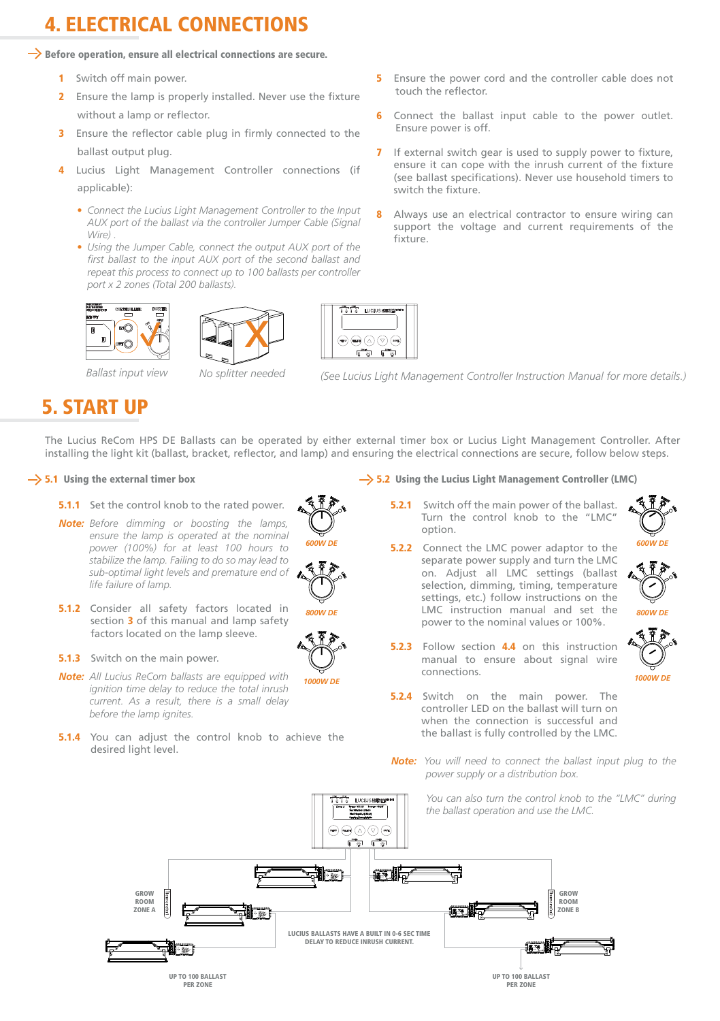## 4. ELECTRICAL CONNECTIONS

#### $\rightarrow$  Before operation, ensure all electrical connections are secure.

- 1 Switch off main power.
- 2 Ensure the lamp is properly installed. Never use the fixture without a lamp or reflector.
- 3 Ensure the reflector cable plug in firmly connected to the ballast output plug.
- 4 Lucius Light Management Controller connections (if applicable)<sup>.</sup>
	- *Connect the Lucius Light Management Controller to the Input AUX port of the ballast via the controller Jumper Cable (Signal Wire) .*
	- *Using the Jumper Cable, connect the output AUX port of the first ballast to the input AUX port of the second ballast and repeat this process to connect up to 100 ballasts per controller port x 2 zones (Total 200 ballasts).*







 $\bigoplus \bigcirc \bigcirc \bigcirc$ 

- 5 Ensure the power cord and the controller cable does not touch the reflector.
- Connect the ballast input cable to the power outlet. Ensure power is off.
- If external switch gear is used to supply power to fixture, ensure it can cope with the inrush current of the fixture (see ballast specifications). Never use household timers to switch the fixture.
- Always use an electrical contractor to ensure wiring can support the voltage and current requirements of the fixture.



*Ballast input view No splitter needed (See Lucius Light Management Controller Instruction Manual for more details.)*

### 5. START UP

The Lucius ReCom HPS DE Ballasts can be operated by either external timer box or Lucius Light Management Controller. After installing the light kit (ballast, bracket, reflector, and lamp) and ensuring the electrical connections are secure, follow below steps.

#### $\rightarrow$  5.1 Using the external timer box

- 5.1.1 Set the control knob to the rated power
- *Note: Before dimming or boosting the lamps, ensure the lamp is operated at the nominal power (100%) for at least 100 hours to stabilize the lamp. Failing to do so may lead to sub-optimal light levels and premature end of life failure of lamp.*



*1000W DE*

*600W DE*

- **5.1.2** Consider all safety factors located in section 3 of this manual and lamp safety factors located on the lamp sleeve.
- **5.1.3** Switch on the main power.
- *Note: All Lucius ReCom ballasts are equipped with ignition time delay to reduce the total inrush current. As a result, there is a small delay before the lamp ignites.*
- **5.1.4** You can adjust the control knob to achieve the desired light level.

#### $\rightarrow$  5.2 Using the Lucius Light Management Controller (LMC)

- 5.2.1 Switch off the main power of the ballast Turn the control knob to the "LMC" option.
- **5.2.2** Connect the LMC power adaptor to the separate power supply and turn the LMC on. Adjust all LMC settings (ballast selection, dimming, timing, temperature settings, etc.) follow instructions on the LMC instruction manual and set the power to the nominal values or 100%.



*800W DE*

*600W DE*

- 5.2.3 Follow section 4.4 on this instruction manual to ensure about signal wire connections.
- **5.2.4** Switch on the main power. The controller LED on the ballast will turn on when the connection is successful and the ballast is fully controlled by the LMC.
- *Note: You will need to connect the ballast input plug to the power supply or a distribution box.*

*You can also turn the control knob to the "LMC" during the ballast operation and use the LMC.*